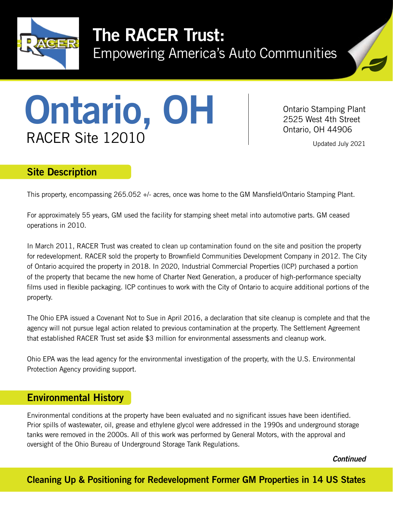

# The RACER Trust:

Empowering America's Auto Communities



# Ontario Stamping Plan<br>
RACER Site 12010

Ontario Stamping Plant

Updated July 2021

## Site Description

This property, encompassing 265.052 +/- acres, once was home to the GM Mansfield/Ontario Stamping Plant.

For approximately 55 years, GM used the facility for stamping sheet metal into automotive parts. GM ceased operations in 2010.

In March 2011, RACER Trust was created to clean up contamination found on the site and position the property for redevelopment. RACER sold the property to Brownfield Communities Development Company in 2012. The City of Ontario acquired the property in 2018. In 2020, Industrial Commercial Properties (ICP) purchased a portion of the property that became the new home of Charter Next Generation, a producer of high-performance specialty films used in flexible packaging. ICP continues to work with the City of Ontario to acquire additional portions of the property.

The Ohio EPA issued a Covenant Not to Sue in April 2016, a declaration that site cleanup is complete and that the agency will not pursue legal action related to previous contamination at the property. The Settlement Agreement that established RACER Trust set aside \$3 million for environmental assessments and cleanup work.

Ohio EPA was the lead agency for the environmental investigation of the property, with the U.S. Environmental Protection Agency providing support.

### Environmental History

Environmental conditions at the property have been evaluated and no significant issues have been identified. Prior spills of wastewater, oil, grease and ethylene glycol were addressed in the 1990s and underground storage tanks were removed in the 2000s. All of this work was performed by General Motors, with the approval and oversight of the Ohio Bureau of Underground Storage Tank Regulations.

*Continued*